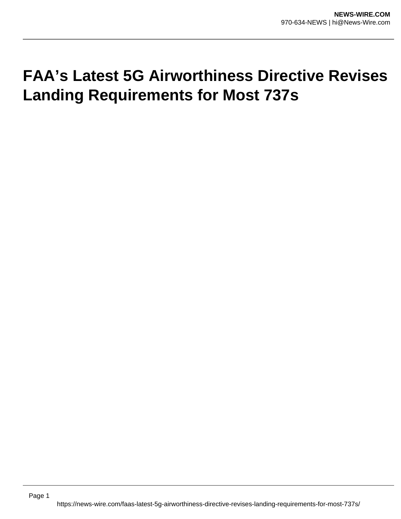## **FAA's Latest 5G Airworthiness Directive Revises Landing Requirements for Most 737s**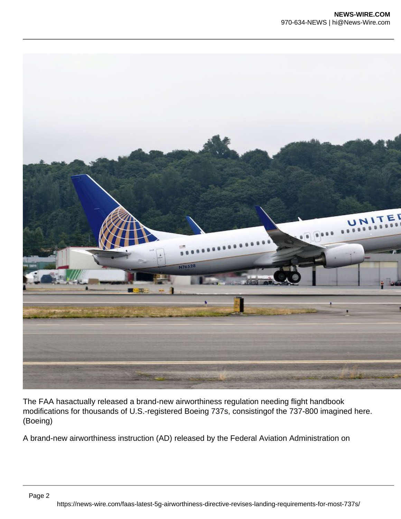

The FAA hasactually released a brand-new airworthiness regulation needing flight handbook modifications for thousands of U.S.-registered Boeing 737s, consistingof the 737-800 imagined here. (Boeing)

A brand-new airworthiness instruction (AD) released by the Federal Aviation Administration on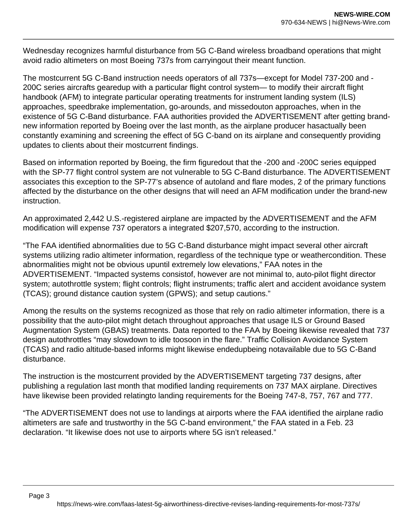Wednesday recognizes harmful disturbance from 5G C-Band wireless broadband operations that might avoid radio altimeters on most Boeing 737s from carryingout their meant function.

The mostcurrent 5G C-Band instruction needs operators of all 737s—except for Model 737-200 and - 200C series aircrafts gearedup with a particular flight control system— to modify their aircraft flight handbook (AFM) to integrate particular operating treatments for instrument landing system (ILS) approaches, speedbrake implementation, go-arounds, and missedouton approaches, when in the existence of 5G C-Band disturbance. FAA authorities provided the ADVERTISEMENT after getting brandnew information reported by Boeing over the last month, as the airplane producer hasactually been constantly examining and screening the effect of 5G C-band on its airplane and consequently providing updates to clients about their mostcurrent findings.

Based on information reported by Boeing, the firm figuredout that the -200 and -200C series equipped with the SP-77 flight control system are not vulnerable to 5G C-Band disturbance. The ADVERTISEMENT associates this exception to the SP-77's absence of autoland and flare modes, 2 of the primary functions affected by the disturbance on the other designs that will need an AFM modification under the brand-new instruction.

An approximated 2,442 U.S.-registered airplane are impacted by the ADVERTISEMENT and the AFM modification will expense 737 operators a integrated \$207,570, according to the instruction.

"The FAA identified abnormalities due to 5G C-Band disturbance might impact several other aircraft systems utilizing radio altimeter information, regardless of the technique type or weathercondition. These abnormalities might not be obvious upuntil extremely low elevations," FAA notes in the ADVERTISEMENT. "Impacted systems consistof, however are not minimal to, auto-pilot flight director system; autothrottle system; flight controls; flight instruments; traffic alert and accident avoidance system (TCAS); ground distance caution system (GPWS); and setup cautions."

Among the results on the systems recognized as those that rely on radio altimeter information, there is a possibility that the auto-pilot might detach throughout approaches that usage ILS or Ground Based Augmentation System (GBAS) treatments. Data reported to the FAA by Boeing likewise revealed that 737 design autothrottles "may slowdown to idle toosoon in the flare." Traffic Collision Avoidance System (TCAS) and radio altitude-based informs might likewise endedupbeing notavailable due to 5G C-Band disturbance.

The instruction is the mostcurrent provided by the ADVERTISEMENT targeting 737 designs, after publishing a regulation last month that modified landing requirements on 737 MAX airplane. Directives have likewise been provided relatingto landing requirements for the Boeing 747-8, 757, 767 and 777.

"The ADVERTISEMENT does not use to landings at airports where the FAA identified the airplane radio altimeters are safe and trustworthy in the 5G C-band environment," the FAA stated in a Feb. 23 declaration. "It likewise does not use to airports where 5G isn't released."